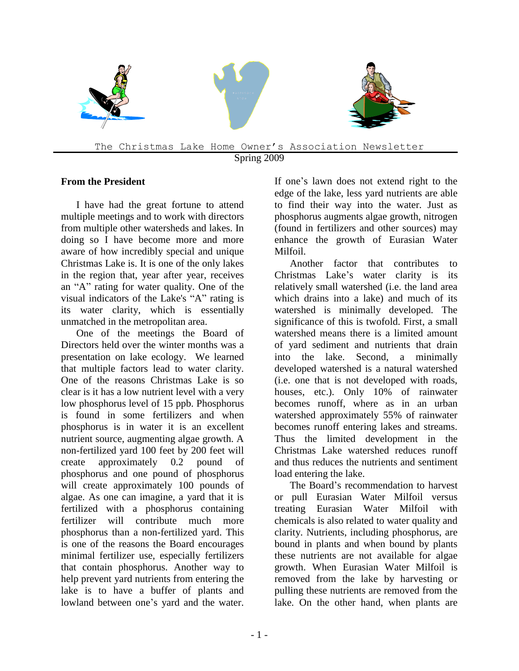

# **From the President**

I have had the great fortune to attend multiple meetings and to work with directors from multiple other watersheds and lakes. In doing so I have become more and more aware of how incredibly special and unique Christmas Lake is. It is one of the only lakes in the region that, year after year, receives an "A" rating for water quality. One of the visual indicators of the Lake's "A" rating is its water clarity, which is essentially unmatched in the metropolitan area.

One of the meetings the Board of Directors held over the winter months was a presentation on lake ecology. We learned that multiple factors lead to water clarity. One of the reasons Christmas Lake is so clear is it has a low nutrient level with a very low phosphorus level of 15 ppb. Phosphorus is found in some fertilizers and when phosphorus is in water it is an excellent nutrient source, augmenting algae growth. A non-fertilized yard 100 feet by 200 feet will create approximately 0.2 pound of phosphorus and one pound of phosphorus will create approximately 100 pounds of algae. As one can imagine, a yard that it is fertilized with a phosphorus containing fertilizer will contribute much more phosphorus than a non-fertilized yard. This is one of the reasons the Board encourages minimal fertilizer use, especially fertilizers that contain phosphorus. Another way to help prevent yard nutrients from entering the lake is to have a buffer of plants and lowland between one's yard and the water.

If one's lawn does not extend right to the edge of the lake, less yard nutrients are able to find their way into the water. Just as phosphorus augments algae growth, nitrogen (found in fertilizers and other sources) may enhance the growth of Eurasian Water Milfoil.

Another factor that contributes to Christmas Lake's water clarity is its relatively small watershed (i.e. the land area which drains into a lake) and much of its watershed is minimally developed. The significance of this is twofold. First, a small watershed means there is a limited amount of yard sediment and nutrients that drain into the lake. Second, a minimally developed watershed is a natural watershed (i.e. one that is not developed with roads, houses, etc.). Only 10% of rainwater becomes runoff, where as in an urban watershed approximately 55% of rainwater becomes runoff entering lakes and streams. Thus the limited development in the Christmas Lake watershed reduces runoff and thus reduces the nutrients and sentiment load entering the lake.

The Board's recommendation to harvest or pull Eurasian Water Milfoil versus treating Eurasian Water Milfoil with chemicals is also related to water quality and clarity. Nutrients, including phosphorus, are bound in plants and when bound by plants these nutrients are not available for algae growth. When Eurasian Water Milfoil is removed from the lake by harvesting or pulling these nutrients are removed from the lake. On the other hand, when plants are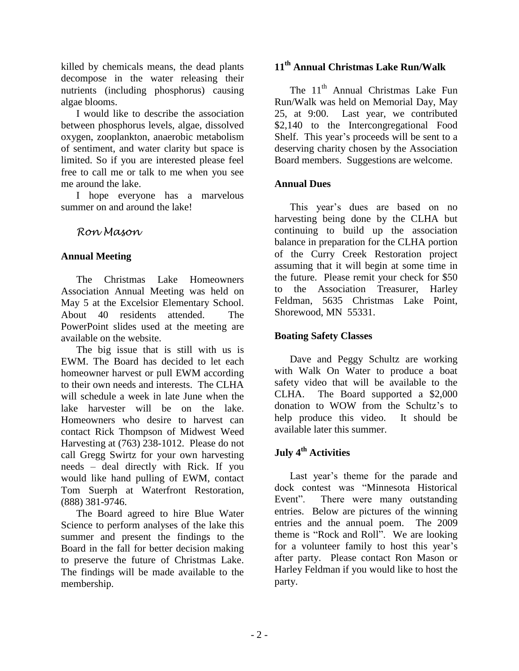killed by chemicals means, the dead plants decompose in the water releasing their nutrients (including phosphorus) causing algae blooms.

I would like to describe the association between phosphorus levels, algae, dissolved oxygen, zooplankton, anaerobic metabolism of sentiment, and water clarity but space is limited. So if you are interested please feel free to call me or talk to me when you see me around the lake.

I hope everyone has a marvelous summer on and around the lake!

*Ron Mason*

#### **Annual Meeting**

The Christmas Lake Homeowners Association Annual Meeting was held on May 5 at the Excelsior Elementary School. About 40 residents attended. The PowerPoint slides used at the meeting are available on the website.

The big issue that is still with us is EWM. The Board has decided to let each homeowner harvest or pull EWM according to their own needs and interests. The CLHA will schedule a week in late June when the lake harvester will be on the lake. Homeowners who desire to harvest can contact Rick Thompson of Midwest Weed Harvesting at (763) 238-1012. Please do not call Gregg Swirtz for your own harvesting needs – deal directly with Rick. If you would like hand pulling of EWM, contact Tom Suerph at Waterfront Restoration, (888) 381-9746.

The Board agreed to hire Blue Water Science to perform analyses of the lake this summer and present the findings to the Board in the fall for better decision making to preserve the future of Christmas Lake. The findings will be made available to the membership.

### **11 th Annual Christmas Lake Run/Walk**

The 11<sup>th</sup> Annual Christmas Lake Fun Run/Walk was held on Memorial Day, May 25, at 9:00. Last year, we contributed \$2,140 to the Intercongregational Food Shelf. This year's proceeds will be sent to a deserving charity chosen by the Association Board members. Suggestions are welcome.

#### **Annual Dues**

This year's dues are based on no harvesting being done by the CLHA but continuing to build up the association balance in preparation for the CLHA portion of the Curry Creek Restoration project assuming that it will begin at some time in the future. Please remit your check for \$50 to the Association Treasurer, Harley Feldman, 5635 Christmas Lake Point, Shorewood, MN 55331.

#### **Boating Safety Classes**

Dave and Peggy Schultz are working with Walk On Water to produce a boat safety video that will be available to the CLHA. The Board supported a \$2,000 donation to WOW from the Schultz's to help produce this video. It should be available later this summer.

## **July 4th Activities**

Last year's theme for the parade and dock contest was "Minnesota Historical Event". There were many outstanding entries. Below are pictures of the winning entries and the annual poem. The 2009 theme is "Rock and Roll". We are looking for a volunteer family to host this year's after party. Please contact Ron Mason or Harley Feldman if you would like to host the party.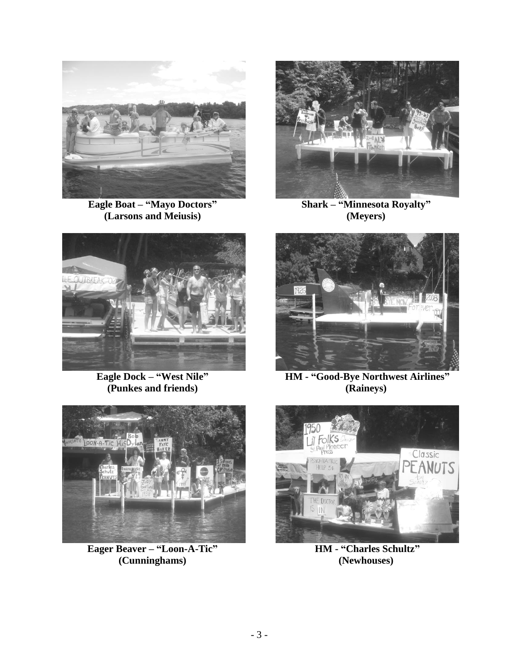

**Eagle Boat – "Mayo Doctors" (Larsons and Meiusis)**



**Shark – "Minnesota Royalty" (Meyers)**



**Eagle Dock – "West Nile" (Punkes and friends)**



**Eager Beaver – "Loon-A-Tic" (Cunninghams)**



**HM - "Good-Bye Northwest Airlines" (Raineys)**



**HM - "Charles Schultz" (Newhouses)**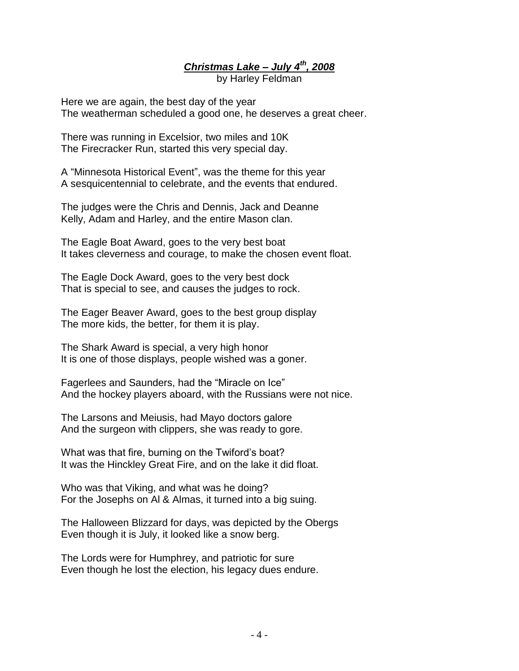*Christmas Lake – July 4th, 2008*

by Harley Feldman

Here we are again, the best day of the year The weatherman scheduled a good one, he deserves a great cheer.

There was running in Excelsior, two miles and 10K The Firecracker Run, started this very special day.

A "Minnesota Historical Event", was the theme for this year A sesquicentennial to celebrate, and the events that endured.

The judges were the Chris and Dennis, Jack and Deanne Kelly, Adam and Harley, and the entire Mason clan.

The Eagle Boat Award, goes to the very best boat It takes cleverness and courage, to make the chosen event float.

The Eagle Dock Award, goes to the very best dock That is special to see, and causes the judges to rock.

The Eager Beaver Award, goes to the best group display The more kids, the better, for them it is play.

The Shark Award is special, a very high honor It is one of those displays, people wished was a goner.

Fagerlees and Saunders, had the "Miracle on Ice" And the hockey players aboard, with the Russians were not nice.

The Larsons and Meiusis, had Mayo doctors galore And the surgeon with clippers, she was ready to gore.

What was that fire, burning on the Twiford's boat? It was the Hinckley Great Fire, and on the lake it did float.

Who was that Viking, and what was he doing? For the Josephs on Al & Almas, it turned into a big suing.

The Halloween Blizzard for days, was depicted by the Obergs Even though it is July, it looked like a snow berg.

The Lords were for Humphrey, and patriotic for sure Even though he lost the election, his legacy dues endure.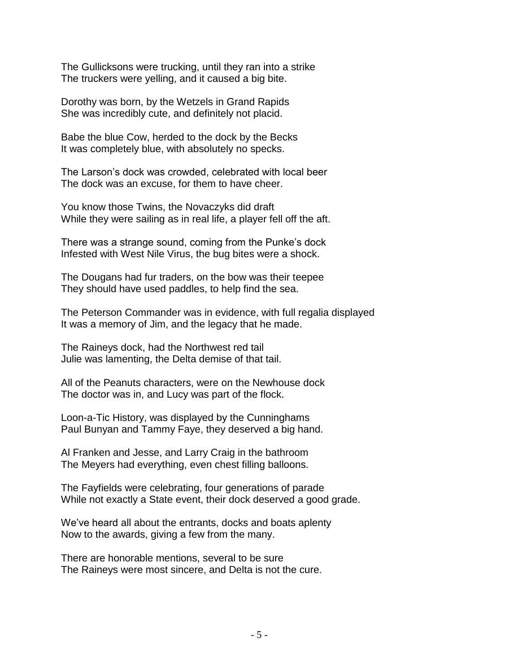The Gullicksons were trucking, until they ran into a strike The truckers were yelling, and it caused a big bite.

Dorothy was born, by the Wetzels in Grand Rapids She was incredibly cute, and definitely not placid.

Babe the blue Cow, herded to the dock by the Becks It was completely blue, with absolutely no specks.

The Larson's dock was crowded, celebrated with local beer The dock was an excuse, for them to have cheer.

You know those Twins, the Novaczyks did draft While they were sailing as in real life, a player fell off the aft.

There was a strange sound, coming from the Punke's dock Infested with West Nile Virus, the bug bites were a shock.

The Dougans had fur traders, on the bow was their teepee They should have used paddles, to help find the sea.

The Peterson Commander was in evidence, with full regalia displayed It was a memory of Jim, and the legacy that he made.

The Raineys dock, had the Northwest red tail Julie was lamenting, the Delta demise of that tail.

All of the Peanuts characters, were on the Newhouse dock The doctor was in, and Lucy was part of the flock.

Loon-a-Tic History, was displayed by the Cunninghams Paul Bunyan and Tammy Faye, they deserved a big hand.

Al Franken and Jesse, and Larry Craig in the bathroom The Meyers had everything, even chest filling balloons.

The Fayfields were celebrating, four generations of parade While not exactly a State event, their dock deserved a good grade.

We've heard all about the entrants, docks and boats aplenty Now to the awards, giving a few from the many.

There are honorable mentions, several to be sure The Raineys were most sincere, and Delta is not the cure.